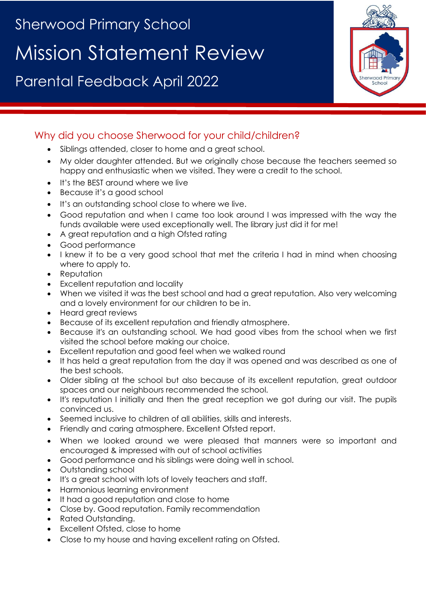# Sherwood Primary School Mission Statement Review

Parental Feedback April 2022



## Why did you choose Sherwood for your child/children?

- Siblings attended, closer to home and a great school.
- My older daughter attended. But we originally chose because the teachers seemed so happy and enthusiastic when we visited. They were a credit to the school.
- It's the BEST around where we live
- Because it's a good school
- It's an outstanding school close to where we live.
- Good reputation and when I came too look around I was impressed with the way the funds available were used exceptionally well. The library just did it for me!
- A great reputation and a high Ofsted rating
- Good performance
- I knew it to be a very good school that met the criteria I had in mind when choosing where to apply to.
- Reputation
- Excellent reputation and locality
- When we visited it was the best school and had a great reputation. Also very welcoming and a lovely environment for our children to be in.
- Heard great reviews
- Because of its excellent reputation and friendly atmosphere.
- Because it's an outstanding school. We had good vibes from the school when we first visited the school before making our choice.
- Excellent reputation and good feel when we walked round
- It has held a great reputation from the day it was opened and was described as one of the best schools.
- Older sibling at the school but also because of its excellent reputation, great outdoor spaces and our neighbours recommended the school.
- It's reputation I initially and then the great reception we got during our visit. The pupils convinced us.
- Seemed inclusive to children of all abilities, skills and interests.
- Friendly and caring atmosphere. Excellent Ofsted report.
- When we looked around we were pleased that manners were so important and encouraged & impressed with out of school activities
- Good performance and his siblings were doing well in school.
- Outstanding school
- It's a great school with lots of lovely teachers and staff.
- Harmonious learning environment
- It had a good reputation and close to home
- Close by. Good reputation. Family recommendation
- Rated Outstanding.
- Excellent Ofsted, close to home
- Close to my house and having excellent rating on Ofsted.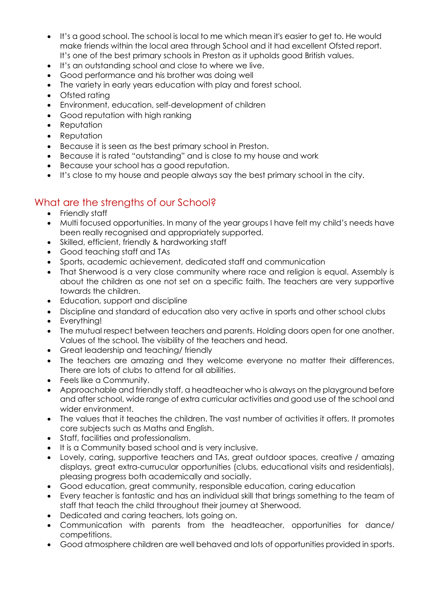- It's a good school. The school is local to me which mean it's easier to get to. He would make friends within the local area through School and it had excellent Ofsted report. It's one of the best primary schools in Preston as it upholds good British values.
- It's an outstanding school and close to where we live.
- Good performance and his brother was doing well
- The variety in early years education with play and forest school.
- Ofsted rating
- Environment, education, self-development of children
- Good reputation with high ranking
- Reputation
- Reputation
- Because it is seen as the best primary school in Preston.
- Because it is rated "outstanding" and is close to my house and work
- Because your school has a good reputation.
- It's close to my house and people always say the best primary school in the city.

### What are the strengths of our School?

- Friendly staff
- Multi focused opportunities. In many of the year groups I have felt my child's needs have been really recognised and appropriately supported.
- Skilled, efficient, friendly & hardworking staff
- Good teaching staff and TAs
- Sports, academic achievement, dedicated staff and communication
- That Sherwood is a very close community where race and religion is equal. Assembly is about the children as one not set on a specific faith. The teachers are very supportive towards the children.
- Education, support and discipline
- Discipline and standard of education also very active in sports and other school clubs
- Everything!
- The mutual respect between teachers and parents. Holding doors open for one another. Values of the school. The visibility of the teachers and head.
- Great leadership and teaching/ friendly
- The teachers are amazing and they welcome everyone no matter their differences. There are lots of clubs to attend for all abilities.
- Feels like a Community.
- Approachable and friendly staff, a headteacher who is always on the playground before and after school, wide range of extra curricular activities and good use of the school and wider environment.
- The values that it teaches the children. The vast number of activities it offers. It promotes core subjects such as Maths and English.
- Staff, facilities and professionalism.
- It is a Community based school and is very inclusive.
- Lovely, caring, supportive teachers and TAs, great outdoor spaces, creative / amazing displays, great extra-currucular opportunities (clubs, educational visits and residentials), pleasing progress both academically and socially.
- Good education, great community, responsible education, caring education
- Every teacher is fantastic and has an individual skill that brings something to the team of staff that teach the child throughout their journey at Sherwood.
- Dedicated and caring teachers, lots going on.
- Communication with parents from the headteacher, opportunities for dance/ competitions.
- Good atmosphere children are well behaved and lots of opportunities provided in sports.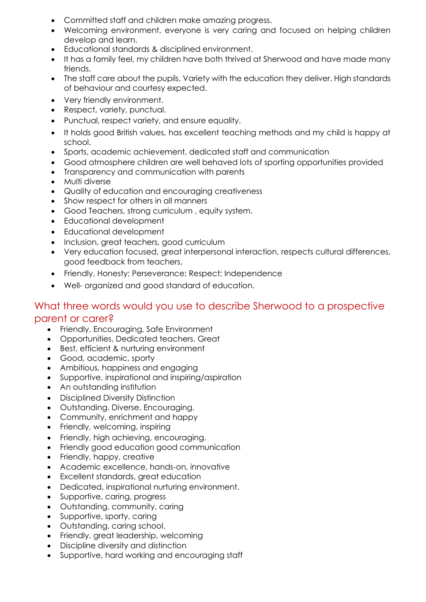- Committed staff and children make amazing progress.
- Welcoming environment, everyone is very caring and focused on helping children develop and learn.
- Educational standards & disciplined environment.
- It has a family feel, my children have both thrived at Sherwood and have made many friends.
- The staff care about the pupils. Variety with the education they deliver. High standards of behaviour and courtesy expected.
- Very friendly environment.
- Respect, variety, punctual.
- Punctual, respect variety, and ensure equality.
- It holds good British values, has excellent teaching methods and my child is happy at school.
- Sports, academic achievement, dedicated staff and communication
- Good atmosphere children are well behaved lots of sporting opportunities provided
- Transparency and communication with parents
- Multi diverse
- Quality of education and encouraging creativeness
- Show respect for others in all manners
- Good Teachers, strong curriculum , equity system.
- Educational development
- Educational development
- Inclusion, great teachers, good curriculum
- Very education focused, great interpersonal interaction, respects cultural differences, good feedback from teachers,
- Friendly, Honesty; Perseverance; Respect; Independence
- Well- organized and good standard of education.

#### What three words would you use to describe Sherwood to a prospective parent or carer?

- Friendly, Encouraging, Safe Environment
- Opportunities. Dedicated teachers. Great
- Best, efficient & nurturing environment
- Good, academic, sporty
- Ambitious, happiness and engaging
- Supportive, inspirational and inspiring/aspiration
- An outstanding institution
- Disciplined Diversity Distinction
- Outstanding. Diverse. Encouraging.
- Community, enrichment and happy
- Friendly, welcoming, inspiring
- Friendly, high achieving, encouraging.
- Friendly good education good communication
- Friendly, happy, creative
- Academic excellence, hands-on, innovative
- Excellent standards, great education
- Dedicated, inspirational nurturing environment.
- Supportive, caring, progress
- Outstanding, community, caring
- Supportive, sporty, caring
- Outstanding, caring school.
- Friendly, great leadership, welcoming
- Discipline diversity and distinction
- Supportive, hard working and encouraging staff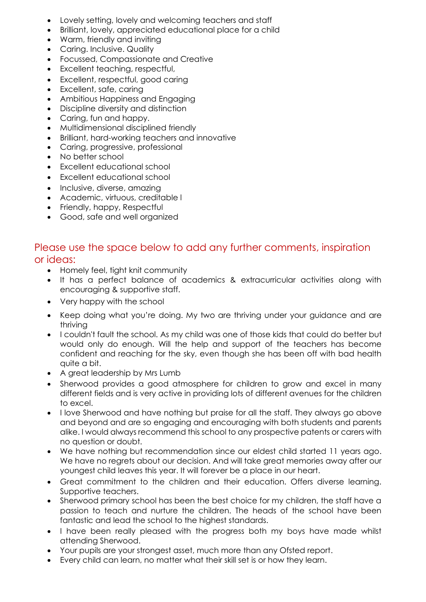- Lovely setting, lovely and welcoming teachers and staff
- Brilliant, lovely, appreciated educational place for a child
- Warm, friendly and inviting
- Caring. Inclusive. Quality
- Focussed, Compassionate and Creative
- Excellent teaching, respectful,
- Excellent, respectful, good caring
- Excellent, safe, caring
- Ambitious Happiness and Engaging
- Discipline diversity and distinction
- Caring, fun and happy.
- Multidimensional disciplined friendly
- Brilliant, hard-working teachers and innovative
- Caring, progressive, professional
- No better school
- Excellent educational school
- Excellent educational school
- Inclusive, diverse, amazing
- Academic, virtuous, creditable l
- Friendly, happy, Respectful
- Good, safe and well organized

#### Please use the space below to add any further comments, inspiration or ideas:

- Homely feel, tight knit community
- It has a perfect balance of academics & extracurricular activities along with encouraging & supportive staff.
- Very happy with the school
- Keep doing what you're doing. My two are thriving under your guidance and are thriving
- I couldn't fault the school. As my child was one of those kids that could do better but would only do enough. Will the help and support of the teachers has become confident and reaching for the sky, even though she has been off with bad health quite a bit.
- A great leadership by Mrs Lumb
- Sherwood provides a good atmosphere for children to grow and excel in many different fields and is very active in providing lots of different avenues for the children to excel.
- I love Sherwood and have nothing but praise for all the staff. They always go above and beyond and are so engaging and encouraging with both students and parents alike. I would always recommend this school to any prospective patents or carers with no question or doubt.
- We have nothing but recommendation since our eldest child started 11 years ago. We have no regrets about our decision. And will take great memories away after our youngest child leaves this year. It will forever be a place in our heart.
- Great commitment to the children and their education. Offers diverse learning. Supportive teachers.
- Sherwood primary school has been the best choice for my children, the staff have a passion to teach and nurture the children. The heads of the school have been fantastic and lead the school to the highest standards.
- I have been really pleased with the progress both my boys have made whilst attending Sherwood.
- Your pupils are your strongest asset, much more than any Ofsted report.
- Every child can learn, no matter what their skill set is or how they learn.